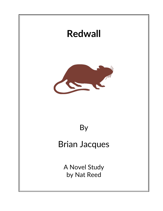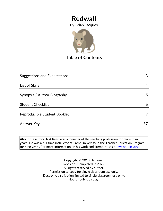By Brian Jacques



**Table of Contents**

| <b>Suggestions and Expectations</b> |    |
|-------------------------------------|----|
|                                     |    |
| List of Skills                      | 4  |
| Synopsis / Author Biography         | 5  |
| <b>Student Checklist</b>            | 6  |
| Reproducible Student Booklet        |    |
| <b>Answer Key</b>                   | 87 |

**About the author:** Nat Reed was a member of the teaching profession for more than 35 years. He was a full-time instructor at Trent University in the Teacher Education Program for nine years. For more information on his work and literature, visit [novelstudies.org.](http://www.novelstudies.org/)

> Copyright © 2013 Nat Reed Revisions Completed in 2022 All rights reserved by author. Permission to copy for single classroom use only. Electronic distribution limited to single classroom use only. Not for public display.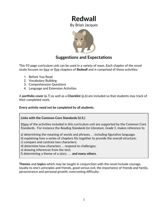By Brian Jacques



### **Suggestions and Expectations**

This 93 page curriculum unit can be used in a variety of ways. Each chapter of the novel study focuses on four or five chapters of *Redwall* and is comprised of these activities:

- 1. Before You Read
- 2. Vocabulary Building
- 3. Comprehension Questions
- 4. Language and Extension Activities

A **portfolio cover** (p.7) as well as a **Checklist** (p.6) are included so that students may track of their completed work.

#### **Every activity need not be completed by all students.**

#### **Links with the Common Core Standards (U.S.)**

Many of the activities included in this curriculum unit are supported by the Common Core Standards. For instance the *Reading Standards for Literature, Grade 5*, makes reference to

a) determining the meaning of words and phrases. . . including figurative language;

- b) explaining how a series of chapters fits together to provide the overall structure;
- c) compare and contrast two characters;
- d) determine how characters … respond to challenges;
- e) drawing inferences from the text;
- f) determining a theme of a story . . . **and many others.**

**Themes** and **topics** which may be taught in conjunction with the novel include courage, loyalty to one's principles and friends, good versus evil, the importance of friends and family, perseverance and personal growth, overcoming difficulty.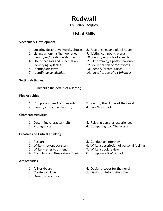By Brian Jacques

## **List of Skills**

#### **Vocabulary Development**

- 1. Locating descriptive words/phrases 8. Use of singular / plural nouns
- 2. Listing synonyms/homophones 9. Listing compound words
- 3. Identifying/creating *alliteration* 10. Identifying parts of speech
- 4. Use of capitals and punctuation 11. Determining alphabetical order
- 
- 
- 

#### **Setting Activities**

1. Summarize the details of a setting

#### **Plot Activities**

- 
- 2. Identify conflict in the story 4. Five W's Chart

#### **Character Activities**

- 
- 

#### **Creative and Critical Thinking**

- 
- 
- 3. Write a letter to a friend 7. Write a book review
- 4. Complete an Observation Chart 8. Complete a KWS Chart

#### **Art Activities**

- 
- 
- 3. Design a brochure
- 
- 
- 
- 
- 5. Identifying syllables 12. Identification of root words
- 6. Identify *anagrams* 13. Identify/create *similes*
- 7. Identify *personification* 14. Identification of a *cliffhanger*

- 1. Complete a *time line* of events 3. Identify the climax of the novel
	-
- 1. Determine character traits 3. Relating personal experiences
- 2. Protagonists 4. Comparing two Characters
- 1. Research 5. Conduct an interview
- 2. Write a newspaper story 6. Write a description of personal feelings
	-
	-
- 1. A Storyboard **1.** A Storyboard **1.** A Storyboard
- 2. Create a collage 1.1 and 5. Design an Information Card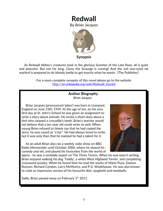By Brian Jacques



**Synopsis**

 As Redwall Abbey's creatures bask in the glorious Summer of the Late Rose, all is quiet and peaceful. But not for long. Cluny the Scourge is coming! And the evil one-eyed rat warlord is prepared to do bloody battle to get exactly what he wants. [The Publisher]

> For a more complete synopsis of this novel please go to the website http://en.wikipedia.org/wiki/Redwall (novel[\)](http://en.wikipedia.org/wiki/Redwall_(novel))

#### **Author Biography** *Brian Jacques*

 Brian Jacques (pronounced 'jakes') was born in Liverpool, England on June 15th, 1939. At the age of ten, on his very first day at St. John's School he was given an assignment to write a story about animals. He wrote a short story about a bird who cleaned a crocodile's teeth. Brian's teacher would not believe that a ten year old could write so well. When young Brian refused to falsely say that he had copied the story, he was caned as "a liar". He had always loved to write, but it was only then that he realized he had a talent for it.

 As an adult Brian also ran a weekly radio show on BBC Radio Merseyside, until October 2006, where he shared his comedy and wit, and played his favourites from the world of



opera - he was a veritable expert on The Three Tenors. When he was wasn't writing, Brian enjoyed walking his dog 'Teddy', a white West Highland Terrier, and completing crossword puzzles. When he found time he read the works of Mario Puzo, Damon Runyon, Richard Condon, Larry McMurtry, and P.G. Wodehouse. He was also known to cook an impressive version of his favourite dish, spaghetti and meatballs.

Sadly, Brian passed away on February  $5<sup>th</sup>$  2011.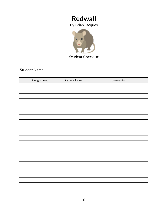By Brian Jacques



Student Name

| Assignment | Grade / Level | Comments |
|------------|---------------|----------|
|            |               |          |
|            |               |          |
|            |               |          |
|            |               |          |
|            |               |          |
|            |               |          |
|            |               |          |
|            |               |          |
|            |               |          |
|            |               |          |
|            |               |          |
|            |               |          |
|            |               |          |
|            |               |          |
|            |               |          |
|            |               |          |
|            |               |          |
|            |               |          |
|            |               |          |
|            |               |          |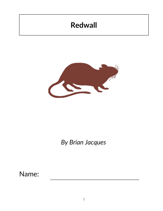

*By Brian Jacques*

Name: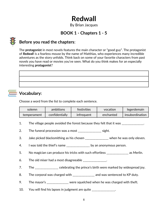By Brian Jacques

### **BOOK 1 - Chapters 1 - 5**



### **Before you read the chapters**:

The **protagonist** in most novels features the main character or "good guy". The protagonist of *Redwall* is a fearless mouse by the name of Matthias, who experiences many incredible adventures as the story unfolds. Think back on some of your favorite characters from past novels you have read or movies you've seen. What do you think makes for an especially interesting **protagonist**?

## **Vocabulary:**

Choose a word from the list to complete each sentence.

| solemn      | ambitions      | festivities | vocation  | legerdemain     |
|-------------|----------------|-------------|-----------|-----------------|
| temperament | confidentially | infrequent  | enchanted | insubordination |

1. The village people avoided the forest because they felt that it was \_\_\_\_\_\_\_\_\_\_\_\_\_.

2. The funeral procession was a most \_\_\_\_\_\_\_\_\_\_\_\_\_\_\_\_\_ sight.

- 3. Jake picked blacksmithing as his chosen \_\_\_\_\_\_\_\_\_\_\_\_\_\_\_ when he was only eleven.
- 4. I was told the thief's name \_\_\_\_\_\_\_\_\_\_\_\_\_\_\_\_ by an anonymous person.
- 5. No magician can produce his tricks with such effortless \_\_\_\_\_\_\_\_\_\_\_\_\_\_\_ as Merlin.
- 6. The old miser had a most disagreeable  $\frac{1}{2}$
- 7. The \_\_\_\_\_\_\_\_\_\_\_\_\_\_ celebrating the prince's birth were marked by widespread joy.
- 8. The corporal was charged with \_\_\_\_\_\_\_\_\_\_\_\_\_\_ and was sentenced to KP duty.
- 9. The mayor's \_\_\_\_\_\_\_\_\_\_\_\_\_\_\_ were squelched when he was charged with theft.
- 10. You will find his lapses in judgment are quite \_\_\_\_\_\_\_\_\_\_\_\_\_\_\_.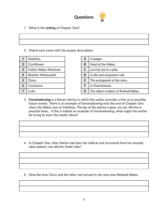

1. What is the **setting** of Chapter One?

| <u> 2000 - Andrea Andrew Amerikaanse kommunister († 1950)</u> |  |
|---------------------------------------------------------------|--|

2. Match each name with the proper description:

| 1              | <b>Matthias</b>              | A | A badger.               |
|----------------|------------------------------|---|-------------------------|
| $\overline{2}$ | Cornflower                   | B | Head of the Abbey.      |
| 3              | <b>Father Abbot Mortimer</b> | C | Lost his eye to a pike. |
| 4              | <b>Brother Methuselah</b>    | D | A silly and outspoken   |
| 5              | Cluny                        | E | The protagonist of the  |
| 6              | Constance                    | F | A Churchmouse.          |
|                | Colin                        | G | The oldest resident of  |
|                |                              |   |                         |

| 1              | <b>Matthias</b>              | A | A badger.                             |
|----------------|------------------------------|---|---------------------------------------|
| $\overline{2}$ | Cornflower                   | B | Head of the Abbey.                    |
| 3              | <b>Father Abbot Mortimer</b> |   | Lost his eye to a pike.               |
| 4              | <b>Brother Methuselah</b>    | D | A silly and outspoken vole.           |
| 5              | Cluny                        |   | The protagonist of the story.         |
| 6              | Constance                    |   | A Churchmouse.                        |
| 7              | Colin                        |   | The oldest resident of Redwall Abbey. |

- 3. **Foreshadowing** is a literary device in which the author provides a hint as to possible future events. There is an example of foreshadowing near the end of Chapter One when the Abbot says to Matthias, *The day of the warrior is gone, my son. We live in peaceful times…* If this is indeed an example of foreshadowing, what might the author be trying to warn the reader about?
- - 4. In Chapter One, after Martin had slain the wildcat and recovered from his wounds, what solemn vow did the Order take?

5. Describe how Cluny and the other rats arrived in the area near Redwall Abbey.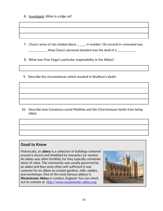6. Investigate: What is a *bilge* rat?

7. Cluny's army of rats totaled about \_\_\_\_\_\_ in number. His second-in-command was  $\frac{1}{2}$  Atop Cluny's personal standard was the skull of a  $\frac{1}{2}$ 

8. What was Friar Hugo's particular responsibility in the Abbey?

9. Describe the circumstances which resulted in Skullface's death.

 10. Describe how Constance saved Matthias and the Churchmouse family from being killed.

### **Good to Know**

Historically, an **abbey** is a collection of buildings centered around a church and inhabited by monastics (or monks). An abbey was often fortified, for they typically contained items of value. The community was usually governed by an abbot and they were often self-sufficient It was common for an abbey to contain gardens, mills, stables, and workshops. One of the most famous abbeys is **Westminster Abbey** in London, England. You can check out its website at [http://www.westminster-abbey.org](http://www.westminster-abbey.org/)

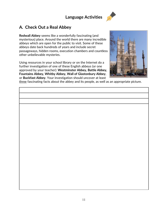## **Language Activities**



### **A***.* **Check Out a Real Abbey**

**Redwall Abbey** seems like a wonderfully fascinating (and mysterious) place. Around the world there are many incredible abbeys which are open for the public to visit. Some of these abbeys date back hundreds of years and include secret passageways, hidden rooms, execution chambers and countless other unbelievable mysteries.

Using resources in your school library or on the Internet do a further investigation of one of these English abbeys (or one approved by your teacher): **Westminster Abbey, Battle Abbey, Fountains Abbey, Whitby Abbey, Wall of Glastonbury Abbey**, or **Buckfast Abbey**. Your investigation should uncover at least



three fascinating facts about the abbey and its people, as well as an appropriate picture.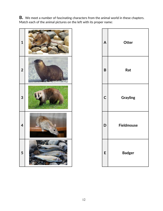**B.** We meet a number of fascinating characters from the animal world in these chapters. Match each of the animal pictures on the left with its proper name:



| A            | Otter             |
|--------------|-------------------|
| B            | Rat               |
| $\mathsf{C}$ | <b>Grayling</b>   |
| D            | <b>Fieldmouse</b> |
| E            | <b>Badger</b>     |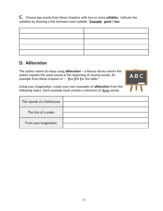**C.** Choose ten words from these chapters with two or more **syllables**. Indicate the syllables by drawing a line between each syllable. **Example**: **good / bye**.

### **D***.* **Alliteration**

The author seems to enjoy using **alliteration –** a literary device where the author repeats the same sound at the beginning of several words. An example from these chapters is "… **f**ine **f**ish **f**or the table."



Using your imagination, create your own examples of **alliteration** from the following topics. Each example must contain a minimum of three words.

| The squeak of a fieldmouse |  |
|----------------------------|--|
| The hiss of a snake        |  |
|                            |  |
| From your imagination      |  |